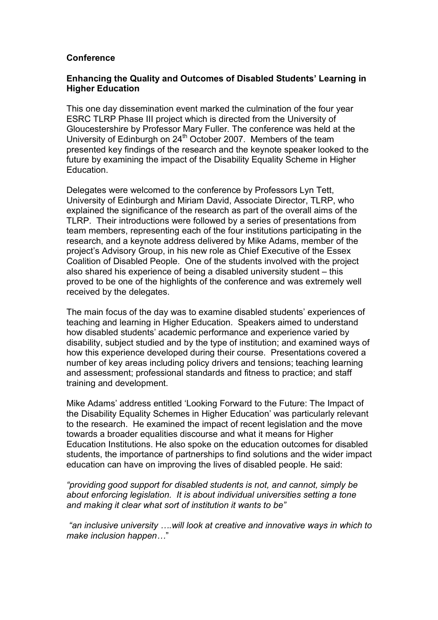## **Conference**

## **Enhancing the Quality and Outcomes of Disabled Students' Learning in Higher Education**

This one day dissemination event marked the culmination of the four year ESRC TLRP Phase III project which is directed from the University of Gloucestershire by Professor Mary Fuller. The conference was held at the University of Edinburgh on 24<sup>th</sup> October 2007. Members of the team presented key findings of the research and the keynote speaker looked to the future by examining the impact of the Disability Equality Scheme in Higher Education.

Delegates were welcomed to the conference by Professors Lyn Tett, University of Edinburgh and Miriam David, Associate Director, TLRP, who explained the significance of the research as part of the overall aims of the TLRP. Their introductions were followed by a series of presentations from team members, representing each of the four institutions participating in the research, and a keynote address delivered by Mike Adams, member of the project's Advisory Group, in his new role as Chief Executive of the Essex Coalition of Disabled People. One of the students involved with the project also shared his experience of being a disabled university student – this proved to be one of the highlights of the conference and was extremely well received by the delegates.

The main focus of the day was to examine disabled students' experiences of teaching and learning in Higher Education. Speakers aimed to understand how disabled students' academic performance and experience varied by disability, subject studied and by the type of institution; and examined ways of how this experience developed during their course. Presentations covered a number of key areas including policy drivers and tensions; teaching learning and assessment; professional standards and fitness to practice; and staff training and development.

Mike Adams' address entitled 'Looking Forward to the Future: The Impact of the Disability Equality Schemes in Higher Education' was particularly relevant to the research. He examined the impact of recent legislation and the move towards a broader equalities discourse and what it means for Higher Education Institutions. He also spoke on the education outcomes for disabled students, the importance of partnerships to find solutions and the wider impact education can have on improving the lives of disabled people. He said:

*"providing good support for disabled students is not, and cannot, simply be about enforcing legislation. It is about individual universities setting a tone and making it clear what sort of institution it wants to be"*

*"an inclusive university ….will look at creative and innovative ways in which to make inclusion happen…*"